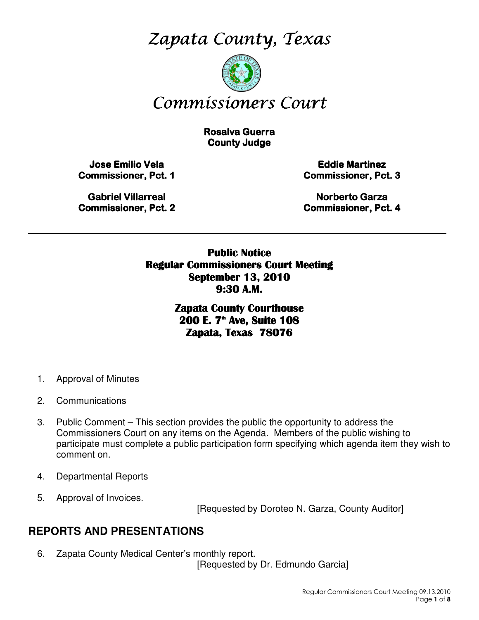Zapata County, Texas



# Commissioners Court

**Rosalva Guerra County Judge** 

**Jose Emilio Vela** Commissioner, Pct. 1

**Eddie Martinez** Commissioner, Pct. 3

Gabriel Villarreal Gabriel Villarreal **Commissioner, Pct. 2** 

Norberto Garza Commissioner, Pct. 4

Public Notice Regular Commissioners Court Meeting September 13, 2010 9:30 A.M.

\_\_\_\_\_\_\_\_\_\_\_\_\_\_\_\_\_\_\_\_\_\_\_\_\_\_\_\_\_\_\_\_\_\_\_\_\_\_\_\_\_\_\_\_\_\_\_\_\_\_\_\_\_\_\_\_\_\_\_\_\_\_\_\_\_\_\_\_\_\_\_\_\_\_\_\_\_\_\_\_\_\_\_\_\_\_\_\_\_

Zapata County Courthouse 200 E. 7<sup>th</sup> Ave, Suite 108 Zapata, Texas 78076

- 1. Approval of Minutes
- 2. Communications
- 3. Public Comment This section provides the public the opportunity to address the Commissioners Court on any items on the Agenda. Members of the public wishing to participate must complete a public participation form specifying which agenda item they wish to comment on.
- 4. Departmental Reports
- 5. Approval of Invoices.

[Requested by Doroteo N. Garza, County Auditor]

# **REPORTS AND PRESENTATIONS**

6. Zapata County Medical Center's monthly report. [Requested by Dr. Edmundo Garcia]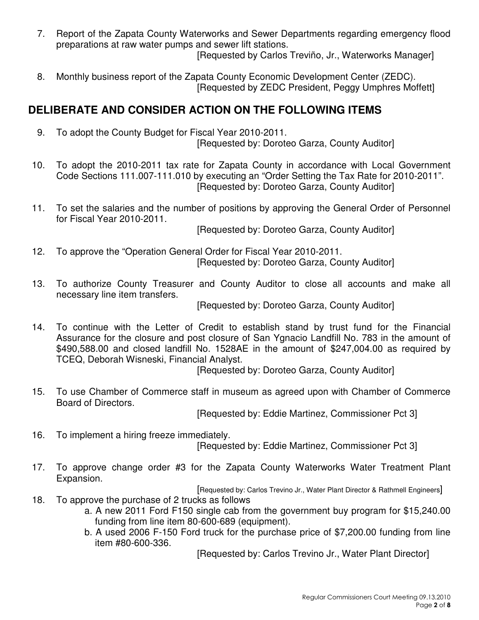- 7. Report of the Zapata County Waterworks and Sewer Departments regarding emergency flood preparations at raw water pumps and sewer lift stations. [Requested by Carlos Treviño, Jr., Waterworks Manager]
- 8. Monthly business report of the Zapata County Economic Development Center (ZEDC). [Requested by ZEDC President, Peggy Umphres Moffett]

# **DELIBERATE AND CONSIDER ACTION ON THE FOLLOWING ITEMS**

9. To adopt the County Budget for Fiscal Year 2010-2011.

[Requested by: Doroteo Garza, County Auditor]

- 10. To adopt the 2010-2011 tax rate for Zapata County in accordance with Local Government Code Sections 111.007-111.010 by executing an "Order Setting the Tax Rate for 2010-2011". [Requested by: Doroteo Garza, County Auditor]
- 11. To set the salaries and the number of positions by approving the General Order of Personnel for Fiscal Year 2010-2011.

[Requested by: Doroteo Garza, County Auditor]

- 12. To approve the "Operation General Order for Fiscal Year 2010-2011. [Requested by: Doroteo Garza, County Auditor]
- 13. To authorize County Treasurer and County Auditor to close all accounts and make all necessary line item transfers.

[Requested by: Doroteo Garza, County Auditor]

14. To continue with the Letter of Credit to establish stand by trust fund for the Financial Assurance for the closure and post closure of San Ygnacio Landfill No. 783 in the amount of \$490,588.00 and closed landfill No. 1528AE in the amount of \$247,004.00 as required by TCEQ, Deborah Wisneski, Financial Analyst.

[Requested by: Doroteo Garza, County Auditor]

15. To use Chamber of Commerce staff in museum as agreed upon with Chamber of Commerce Board of Directors.

[Requested by: Eddie Martinez, Commissioner Pct 3]

16. To implement a hiring freeze immediately.

[Requested by: Eddie Martinez, Commissioner Pct 3]

17. To approve change order #3 for the Zapata County Waterworks Water Treatment Plant Expansion.

[Requested by: Carlos Trevino Jr., Water Plant Director & Rathmell Engineers] 18. To approve the purchase of 2 trucks as follows

- a. A new 2011 Ford F150 single cab from the government buy program for \$15,240.00 funding from line item 80-600-689 (equipment).
- b. A used 2006 F-150 Ford truck for the purchase price of \$7,200.00 funding from line item #80-600-336.

[Requested by: Carlos Trevino Jr., Water Plant Director]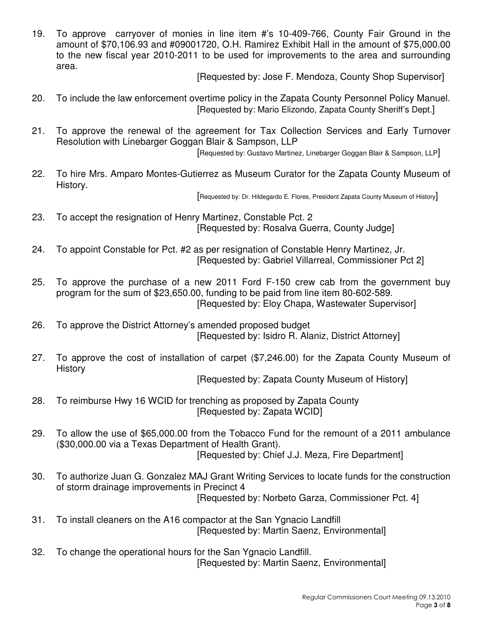19. To approve carryover of monies in line item #'s 10-409-766, County Fair Ground in the amount of \$70,106.93 and #09001720, O.H. Ramirez Exhibit Hall in the amount of \$75,000.00 to the new fiscal year 2010-2011 to be used for improvements to the area and surrounding area.

[Requested by: Jose F. Mendoza, County Shop Supervisor]

- 20. To include the law enforcement overtime policy in the Zapata County Personnel Policy Manuel. [Requested by: Mario Elizondo, Zapata County Sheriff's Dept.]
- 21. To approve the renewal of the agreement for Tax Collection Services and Early Turnover Resolution with Linebarger Goggan Blair & Sampson, LLP

[Requested by: Gustavo Martinez, Linebarger Goggan Blair & Sampson, LLP]

22. To hire Mrs. Amparo Montes-Gutierrez as Museum Curator for the Zapata County Museum of History.

[Requested by: Dr. Hildegardo E. Flores, President Zapata County Museum of History]

- 23. To accept the resignation of Henry Martinez, Constable Pct. 2 [Requested by: Rosalva Guerra, County Judge]
- 24. To appoint Constable for Pct. #2 as per resignation of Constable Henry Martinez, Jr. [Requested by: Gabriel Villarreal, Commissioner Pct 2]
- 25. To approve the purchase of a new 2011 Ford F-150 crew cab from the government buy program for the sum of \$23,650.00, funding to be paid from line item 80-602-589. [Requested by: Eloy Chapa, Wastewater Supervisor]
- 26. To approve the District Attorney's amended proposed budget [Requested by: Isidro R. Alaniz, District Attorney]
- 27. To approve the cost of installation of carpet (\$7,246.00) for the Zapata County Museum of **History**

[Requested by: Zapata County Museum of History]

- 28. To reimburse Hwy 16 WCID for trenching as proposed by Zapata County [Requested by: Zapata WCID]
- 29. To allow the use of \$65,000.00 from the Tobacco Fund for the remount of a 2011 ambulance (\$30,000.00 via a Texas Department of Health Grant). [Requested by: Chief J.J. Meza, Fire Department]
- 30. To authorize Juan G. Gonzalez MAJ Grant Writing Services to locate funds for the construction of storm drainage improvements in Precinct 4 [Requested by: Norbeto Garza, Commissioner Pct. 4]
- 31. To install cleaners on the A16 compactor at the San Ygnacio Landfill [Requested by: Martin Saenz, Environmental]
- 32. To change the operational hours for the San Ygnacio Landfill. [Requested by: Martin Saenz, Environmental]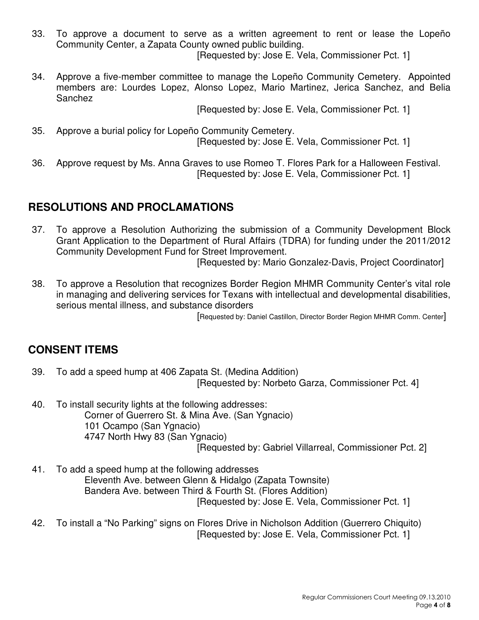33. To approve a document to serve as a written agreement to rent or lease the Lopeño Community Center, a Zapata County owned public building.

[Requested by: Jose E. Vela, Commissioner Pct. 1]

34. Approve a five-member committee to manage the Lopeño Community Cemetery. Appointed members are: Lourdes Lopez, Alonso Lopez, Mario Martinez, Jerica Sanchez, and Belia Sanchez

[Requested by: Jose E. Vela, Commissioner Pct. 1]

- 35. Approve a burial policy for Lopeño Community Cemetery. [Requested by: Jose E. Vela, Commissioner Pct. 1]
- 36. Approve request by Ms. Anna Graves to use Romeo T. Flores Park for a Halloween Festival. [Requested by: Jose E. Vela, Commissioner Pct. 1]

# **RESOLUTIONS AND PROCLAMATIONS**

37. To approve a Resolution Authorizing the submission of a Community Development Block Grant Application to the Department of Rural Affairs (TDRA) for funding under the 2011/2012 Community Development Fund for Street Improvement.

[Requested by: Mario Gonzalez-Davis, Project Coordinator]

38. To approve a Resolution that recognizes Border Region MHMR Community Center's vital role in managing and delivering services for Texans with intellectual and developmental disabilities, serious mental illness, and substance disorders

[Requested by: Daniel Castillon, Director Border Region MHMR Comm. Center]

# **CONSENT ITEMS**

- 39. To add a speed hump at 406 Zapata St. (Medina Addition) [Requested by: Norbeto Garza, Commissioner Pct. 4]
- 40. To install security lights at the following addresses: Corner of Guerrero St. & Mina Ave. (San Ygnacio) 101 Ocampo (San Ygnacio) 4747 North Hwy 83 (San Ygnacio) [Requested by: Gabriel Villarreal, Commissioner Pct. 2]
- 41. To add a speed hump at the following addresses Eleventh Ave. between Glenn & Hidalgo (Zapata Townsite) Bandera Ave. between Third & Fourth St. (Flores Addition) [Requested by: Jose E. Vela, Commissioner Pct. 1]
- 42. To install a "No Parking" signs on Flores Drive in Nicholson Addition (Guerrero Chiquito) [Requested by: Jose E. Vela, Commissioner Pct. 1]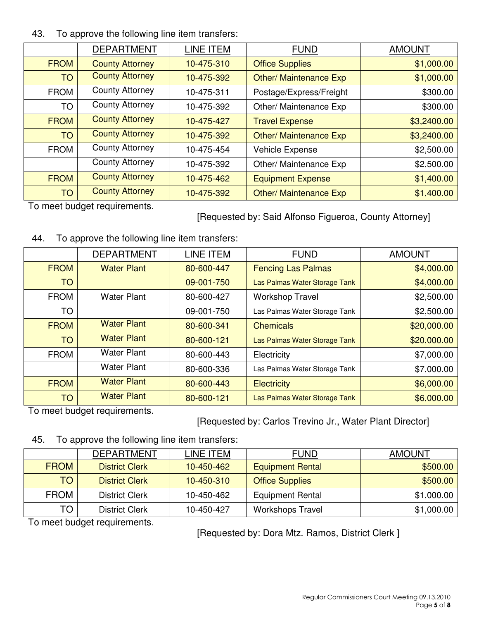#### 43. To approve the following line item transfers:

|             | <b>DEPARTMENT</b>      | LINE ITEM  | <b>FUND</b>                   | <b>AMOUNT</b> |
|-------------|------------------------|------------|-------------------------------|---------------|
| <b>FROM</b> | <b>County Attorney</b> | 10-475-310 | <b>Office Supplies</b>        | \$1,000.00    |
| <b>TO</b>   | <b>County Attorney</b> | 10-475-392 | <b>Other/ Maintenance Exp</b> | \$1,000.00    |
| <b>FROM</b> | <b>County Attorney</b> | 10-475-311 | Postage/Express/Freight       | \$300.00      |
| TO          | <b>County Attorney</b> | 10-475-392 | Other/ Maintenance Exp        | \$300.00      |
| <b>FROM</b> | <b>County Attorney</b> | 10-475-427 | <b>Travel Expense</b>         | \$3,2400.00   |
| <b>TO</b>   | <b>County Attorney</b> | 10-475-392 | <b>Other/ Maintenance Exp</b> | \$3,2400.00   |
| <b>FROM</b> | <b>County Attorney</b> | 10-475-454 | Vehicle Expense               | \$2,500.00    |
|             | <b>County Attorney</b> | 10-475-392 | Other/ Maintenance Exp        | \$2,500.00    |
| <b>FROM</b> | <b>County Attorney</b> | 10-475-462 | <b>Equipment Expense</b>      | \$1,400.00    |
| <b>TO</b>   | <b>County Attorney</b> | 10-475-392 | <b>Other/ Maintenance Exp</b> | \$1,400.00    |

To meet budget requirements.

[Requested by: Said Alfonso Figueroa, County Attorney]

## 44. To approve the following line item transfers:

|             | <b>DEPARTMENT</b>  | LINE ITEM  | <b>FUND</b>                   | <b>AMOUNT</b> |
|-------------|--------------------|------------|-------------------------------|---------------|
| <b>FROM</b> | <b>Water Plant</b> | 80-600-447 | <b>Fencing Las Palmas</b>     | \$4,000.00    |
| <b>TO</b>   |                    | 09-001-750 | Las Palmas Water Storage Tank | \$4,000.00    |
| <b>FROM</b> | <b>Water Plant</b> | 80-600-427 | <b>Workshop Travel</b>        | \$2,500.00    |
| TO          |                    | 09-001-750 | Las Palmas Water Storage Tank | \$2,500.00    |
| <b>FROM</b> | <b>Water Plant</b> | 80-600-341 | <b>Chemicals</b>              | \$20,000.00   |
| <b>TO</b>   | <b>Water Plant</b> | 80-600-121 | Las Palmas Water Storage Tank | \$20,000.00   |
| <b>FROM</b> | <b>Water Plant</b> | 80-600-443 | Electricity                   | \$7,000.00    |
|             | <b>Water Plant</b> | 80-600-336 | Las Palmas Water Storage Tank | \$7,000.00    |
| <b>FROM</b> | <b>Water Plant</b> | 80-600-443 | <b>Electricity</b>            | \$6,000.00    |
| <b>TO</b>   | <b>Water Plant</b> | 80-600-121 | Las Palmas Water Storage Tank | \$6,000.00    |

To meet budget requirements.

[Requested by: Carlos Trevino Jr., Water Plant Director]

45. To approve the following line item transfers:

|             | DEPARTMENT            | LINE ITEM  | <b>FUND</b>             | AMOUNT     |
|-------------|-----------------------|------------|-------------------------|------------|
| <b>FROM</b> | <b>District Clerk</b> | 10-450-462 | <b>Equipment Rental</b> | \$500.00   |
| TO          | <b>District Clerk</b> | 10-450-310 | <b>Office Supplies</b>  | \$500.00   |
| <b>FROM</b> | <b>District Clerk</b> | 10-450-462 | <b>Equipment Rental</b> | \$1,000.00 |
| TO          | District Clerk        | 10-450-427 | <b>Workshops Travel</b> | \$1,000.00 |

To meet budget requirements.

[Requested by: Dora Mtz. Ramos, District Clerk ]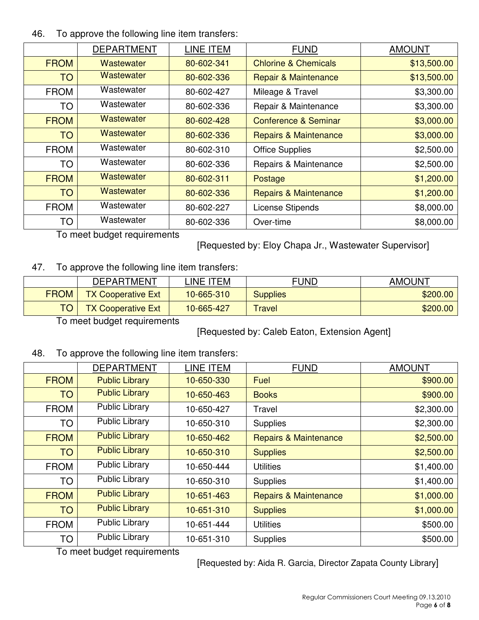#### 46. To approve the following line item transfers:

|             | <b>DEPARTMENT</b> | LINE ITEM  | <b>FUND</b>                      | <b>AMOUNT</b> |
|-------------|-------------------|------------|----------------------------------|---------------|
| <b>FROM</b> | Wastewater        | 80-602-341 | <b>Chlorine &amp; Chemicals</b>  | \$13,500.00   |
| <b>TO</b>   | <b>Wastewater</b> | 80-602-336 | <b>Repair &amp; Maintenance</b>  | \$13,500.00   |
| <b>FROM</b> | Wastewater        | 80-602-427 | Mileage & Travel                 | \$3,300.00    |
| <b>TO</b>   | Wastewater        | 80-602-336 | Repair & Maintenance             | \$3,300.00    |
| <b>FROM</b> | <b>Wastewater</b> | 80-602-428 | Conference & Seminar             | \$3,000.00    |
| <b>TO</b>   | <b>Wastewater</b> | 80-602-336 | <b>Repairs &amp; Maintenance</b> | \$3,000.00    |
| <b>FROM</b> | Wastewater        | 80-602-310 | <b>Office Supplies</b>           | \$2,500.00    |
| TO          | Wastewater        | 80-602-336 | Repairs & Maintenance            | \$2,500.00    |
| <b>FROM</b> | <b>Wastewater</b> | 80-602-311 | Postage                          | \$1,200.00    |
| <b>TO</b>   | Wastewater        | 80-602-336 | <b>Repairs &amp; Maintenance</b> | \$1,200.00    |
| <b>FROM</b> | Wastewater        | 80-602-227 | License Stipends                 | \$8,000.00    |
| TO          | Wastewater        | 80-602-336 | Over-time                        | \$8,000.00    |

To meet budget requirements

[Requested by: Eloy Chapa Jr., Wastewater Supervisor]

#### 47. To approve the following line item transfers:

|             | <b>DEPARTMENT</b>         | INE ITEM   | FUND            | <b>AMOUNT</b> |
|-------------|---------------------------|------------|-----------------|---------------|
| <b>FROM</b> | <b>TX Cooperative Ext</b> | 10-665-310 | <b>Supplies</b> | \$200.00      |
|             | <b>TX Cooperative Ext</b> | 10-665-427 | Travel          | \$200.00      |

To meet budget requirements

[Requested by: Caleb Eaton, Extension Agent]

#### 48. To approve the following line item transfers:

|             | <b>DEPARTMENT</b>     | LINE ITEM  | <b>FUND</b>                      | <b>AMOUNT</b> |
|-------------|-----------------------|------------|----------------------------------|---------------|
| <b>FROM</b> | <b>Public Library</b> | 10-650-330 | Fuel                             | \$900.00      |
| <b>TO</b>   | <b>Public Library</b> | 10-650-463 | <b>Books</b>                     | \$900.00      |
| <b>FROM</b> | <b>Public Library</b> | 10-650-427 | Travel                           | \$2,300.00    |
| <b>TO</b>   | <b>Public Library</b> | 10-650-310 | <b>Supplies</b>                  | \$2,300.00    |
| <b>FROM</b> | <b>Public Library</b> | 10-650-462 | <b>Repairs &amp; Maintenance</b> | \$2,500.00    |
| <b>TO</b>   | <b>Public Library</b> | 10-650-310 | <b>Supplies</b>                  | \$2,500.00    |
| <b>FROM</b> | <b>Public Library</b> | 10-650-444 | <b>Utilities</b>                 | \$1,400.00    |
| <b>TO</b>   | <b>Public Library</b> | 10-650-310 | <b>Supplies</b>                  | \$1,400.00    |
| <b>FROM</b> | <b>Public Library</b> | 10-651-463 | <b>Repairs &amp; Maintenance</b> | \$1,000.00    |
| <b>TO</b>   | <b>Public Library</b> | 10-651-310 | <b>Supplies</b>                  | \$1,000.00    |
| <b>FROM</b> | <b>Public Library</b> | 10-651-444 | <b>Utilities</b>                 | \$500.00      |
| <b>TO</b>   | <b>Public Library</b> | 10-651-310 | <b>Supplies</b>                  | \$500.00      |

To meet budget requirements

[Requested by: Aida R. Garcia, Director Zapata County Library]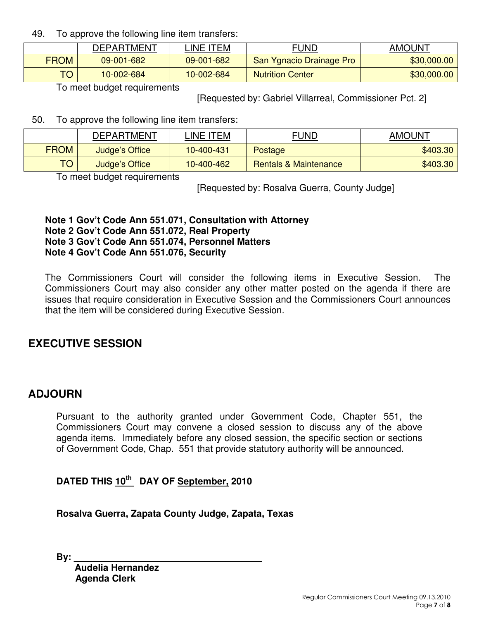49. To approve the following line item transfers:

|             | <b>DEPARTMENT</b> | INE ITEM   | FUND                     | <b>AMOUNT</b> |
|-------------|-------------------|------------|--------------------------|---------------|
| <b>FROM</b> | 09-001-682        | 09-001-682 | San Ygnacio Drainage Pro | \$30,000.00   |
| TO          | 10-002-684        | 10-002-684 | <b>Nutrition Center</b>  | \$30,000.00   |

To meet budget requirements

[Requested by: Gabriel Villarreal, Commissioner Pct. 2]

50. To approve the following line item transfers:

|             | DEPARTMENT     | INE ITEM-  | FUND                             | <b>AMOUNT</b> |
|-------------|----------------|------------|----------------------------------|---------------|
| <b>FROM</b> | Judge's Office | 10-400-431 | Postage                          | \$403.30      |
| TO.         | Judge's Office | 10-400-462 | <b>Rentals &amp; Maintenance</b> | \$403.30      |

To meet budget requirements

[Requested by: Rosalva Guerra, County Judge]

#### **Note 1 Gov't Code Ann 551.071, Consultation with Attorney Note 2 Gov't Code Ann 551.072, Real Property Note 3 Gov't Code Ann 551.074, Personnel Matters Note 4 Gov't Code Ann 551.076, Security**

The Commissioners Court will consider the following items in Executive Session. The Commissioners Court may also consider any other matter posted on the agenda if there are issues that require consideration in Executive Session and the Commissioners Court announces that the item will be considered during Executive Session.

# **EXECUTIVE SESSION**

## **ADJOURN**

Pursuant to the authority granted under Government Code, Chapter 551, the Commissioners Court may convene a closed session to discuss any of the above agenda items. Immediately before any closed session, the specific section or sections of Government Code, Chap. 551 that provide statutory authority will be announced.

**DATED THIS 10th DAY OF September, 2010** 

**Rosalva Guerra, Zapata County Judge, Zapata, Texas** 

**By: \_\_\_\_\_\_\_\_\_\_\_\_\_\_\_\_\_\_\_\_\_\_\_\_\_\_\_\_\_\_\_\_\_\_\_\_** 

 **Audelia Hernandez Agenda Clerk**